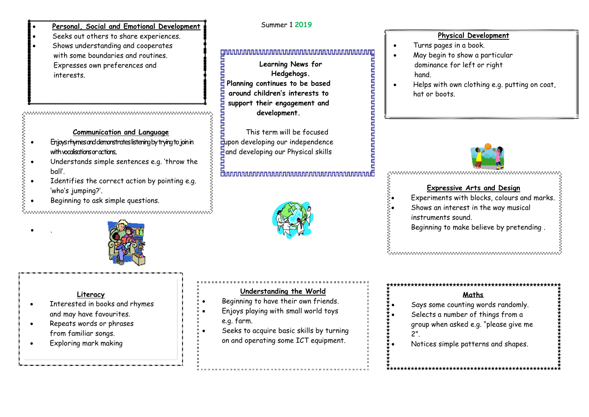- **Personal, Social and Emotional Development**
- Seeks out others to share experiences.
- Shows understanding and cooperates with some boundaries and routines. Expresses own preferences and interests.

# **Communication and Language**

- Enjoys rhymes and demonstrates listening by trying to join in with vocalisations or actions.
- Understands simple sentences e.g. 'throw the ball'.
- Identifies the correct action by pointing e.g. 'who's jumping?'.
- Beginning to ask simple questions.

 $\bullet$  .



# grunnnnnnnnnnnnnnnnnnnnnnnnnnnng

 **Learning News for Hedgehogs. Planning continues to be based around children's interests to support their engagement and development.**

 This term will be focused Eupon developing our independence  $\frac{1}{2}$ and developing our Physical skills

# <u>อิพพพพพพพพพพพพพพพพพพพพพพพพ</u>



#### **Physical Development**

- Turns pages in a book.
- May begin to show a particular dominance for left or right hand.
- Helps with own clothing e.g. putting on coat, hat or boots.



# **Expressive Arts and Design**

- Experiments with blocks, colours and marks.
- Shows an interest in the way musical instruments sound.

**MAAAAAAAAAAAAAAAAAAAAAAAAAAAAAAAAAA** 

Beginning to make believe by pretending .

## **Literacy**

- Interested in books and rhymes and may have favourites.
- Repeats words or phrases from familiar songs.
- Exploring mark making

# **Understanding the World**

- Beginning to have their own friends. Enjoys playing with small world toys e.g. farm.
- Seeks to acquire basic skills by turning on and operating some ICT equipment.

#### **Maths**

wwwwwwwwwwwwwwwwwwwwww

- Says some counting words randomly.
- Selects a number of things from a group when asked e.g. "please give me 2".
- Notices simple patterns and shapes.